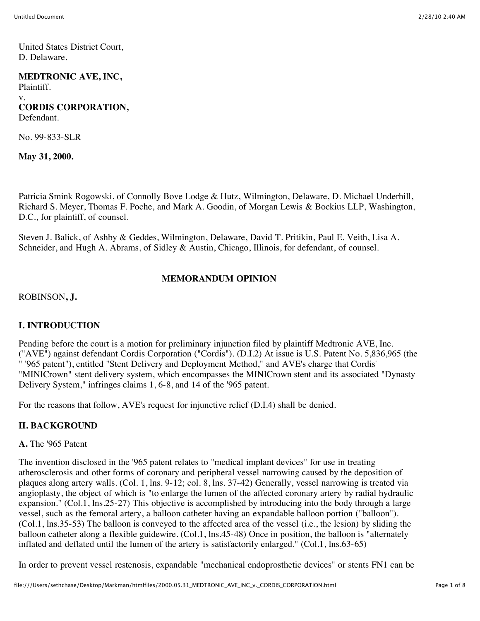United States District Court, D. Delaware.

## **MEDTRONIC AVE, INC,**

Plaintiff. v. **CORDIS CORPORATION,** Defendant.

No. 99-833-SLR

**May 31, 2000.**

Patricia Smink Rogowski, of Connolly Bove Lodge & Hutz, Wilmington, Delaware, D. Michael Underhill, Richard S. Meyer, Thomas F. Poche, and Mark A. Goodin, of Morgan Lewis & Bockius LLP, Washington, D.C., for plaintiff, of counsel.

Steven J. Balick, of Ashby & Geddes, Wilmington, Delaware, David T. Pritikin, Paul E. Veith, Lisa A. Schneider, and Hugh A. Abrams, of Sidley & Austin, Chicago, Illinois, for defendant, of counsel.

### **MEMORANDUM OPINION**

ROBINSON**, J.**

## **I. INTRODUCTION**

Pending before the court is a motion for preliminary injunction filed by plaintiff Medtronic AVE, Inc. ("AVE") against defendant Cordis Corporation ("Cordis"). (D.I.2) At issue is U.S. Patent No. 5,836,965 (the " '965 patent"), entitled "Stent Delivery and Deployment Method," and AVE's charge that Cordis' "MINICrown" stent delivery system, which encompasses the MINICrown stent and its associated "Dynasty Delivery System," infringes claims 1, 6-8, and 14 of the '965 patent.

For the reasons that follow, AVE's request for injunctive relief (D.I.4) shall be denied.

#### **II. BACKGROUND**

#### **A.** The '965 Patent

The invention disclosed in the '965 patent relates to "medical implant devices" for use in treating atherosclerosis and other forms of coronary and peripheral vessel narrowing caused by the deposition of plaques along artery walls. (Col. 1, lns. 9-12; col. 8, lns. 37-42) Generally, vessel narrowing is treated via angioplasty, the object of which is "to enlarge the lumen of the affected coronary artery by radial hydraulic expansion." (Col.1, lns.25-27) This objective is accomplished by introducing into the body through a large vessel, such as the femoral artery, a balloon catheter having an expandable balloon portion ("balloon"). (Col.1, lns.35-53) The balloon is conveyed to the affected area of the vessel (i.e., the lesion) by sliding the balloon catheter along a flexible guidewire. (Col.1, lns.45-48) Once in position, the balloon is "alternately inflated and deflated until the lumen of the artery is satisfactorily enlarged." (Col.1, lns.63-65)

In order to prevent vessel restenosis, expandable "mechanical endoprosthetic devices" or stents FN1 can be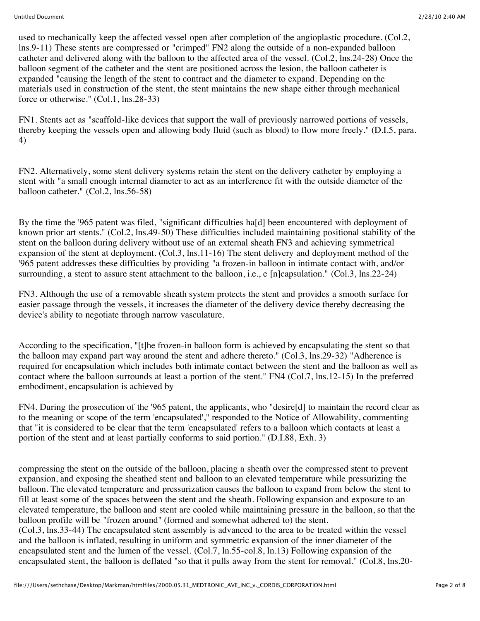used to mechanically keep the affected vessel open after completion of the angioplastic procedure. (Col.2, lns.9-11) These stents are compressed or "crimped" FN2 along the outside of a non-expanded balloon catheter and delivered along with the balloon to the affected area of the vessel. (Col.2, lns.24-28) Once the balloon segment of the catheter and the stent are positioned across the lesion, the balloon catheter is expanded "causing the length of the stent to contract and the diameter to expand. Depending on the materials used in construction of the stent, the stent maintains the new shape either through mechanical force or otherwise." (Col.1, lns.28-33)

FN1. Stents act as "scaffold-like devices that support the wall of previously narrowed portions of vessels, thereby keeping the vessels open and allowing body fluid (such as blood) to flow more freely." (D.I.5, para. 4)

FN2. Alternatively, some stent delivery systems retain the stent on the delivery catheter by employing a stent with "a small enough internal diameter to act as an interference fit with the outside diameter of the balloon catheter." (Col.2, lns.56-58)

By the time the '965 patent was filed, "significant difficulties ha[d] been encountered with deployment of known prior art stents." (Col.2, lns.49-50) These difficulties included maintaining positional stability of the stent on the balloon during delivery without use of an external sheath FN3 and achieving symmetrical expansion of the stent at deployment. (Col.3, lns.11-16) The stent delivery and deployment method of the '965 patent addresses these difficulties by providing "a frozen-in balloon in intimate contact with, and/or surrounding, a stent to assure stent attachment to the balloon, i.e., e [n]capsulation." (Col.3, lns.22-24)

FN3. Although the use of a removable sheath system protects the stent and provides a smooth surface for easier passage through the vessels, it increases the diameter of the delivery device thereby decreasing the device's ability to negotiate through narrow vasculature.

According to the specification, "[t]he frozen-in balloon form is achieved by encapsulating the stent so that the balloon may expand part way around the stent and adhere thereto." (Col.3, lns.29-32) "Adherence is required for encapsulation which includes both intimate contact between the stent and the balloon as well as contact where the balloon surrounds at least a portion of the stent." FN4 (Col.7, lns.12-15) In the preferred embodiment, encapsulation is achieved by

FN4. During the prosecution of the '965 patent, the applicants, who "desire[d] to maintain the record clear as to the meaning or scope of the term 'encapsulated'," responded to the Notice of Allowability, commenting that "it is considered to be clear that the term 'encapsulated' refers to a balloon which contacts at least a portion of the stent and at least partially conforms to said portion." (D.I.88, Exh. 3)

compressing the stent on the outside of the balloon, placing a sheath over the compressed stent to prevent expansion, and exposing the sheathed stent and balloon to an elevated temperature while pressurizing the balloon. The elevated temperature and pressurization causes the balloon to expand from below the stent to fill at least some of the spaces between the stent and the sheath. Following expansion and exposure to an elevated temperature, the balloon and stent are cooled while maintaining pressure in the balloon, so that the balloon profile will be "frozen around" (formed and somewhat adhered to) the stent. (Col.3, lns.33-44) The encapsulated stent assembly is advanced to the area to be treated within the vessel and the balloon is inflated, resulting in uniform and symmetric expansion of the inner diameter of the

encapsulated stent and the lumen of the vessel. (Col.7, ln.55-col.8, ln.13) Following expansion of the encapsulated stent, the balloon is deflated "so that it pulls away from the stent for removal." (Col.8, lns.20-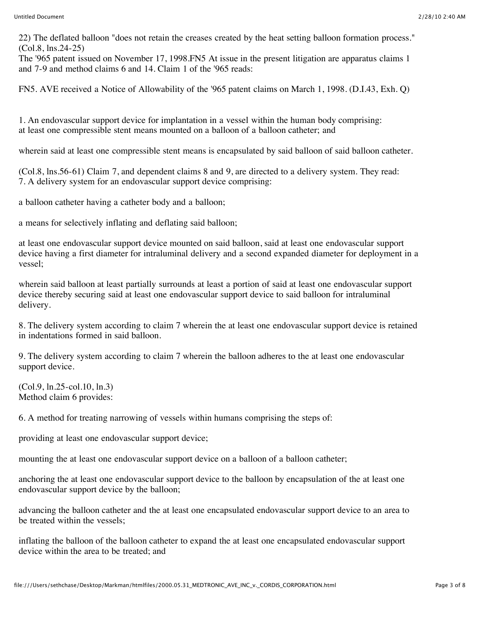22) The deflated balloon "does not retain the creases created by the heat setting balloon formation process." (Col.8, lns.24-25)

The '965 patent issued on November 17, 1998.FN5 At issue in the present litigation are apparatus claims 1 and 7-9 and method claims 6 and 14. Claim 1 of the '965 reads:

FN5. AVE received a Notice of Allowability of the '965 patent claims on March 1, 1998. (D.I.43, Exh. Q)

1. An endovascular support device for implantation in a vessel within the human body comprising: at least one compressible stent means mounted on a balloon of a balloon catheter; and

wherein said at least one compressible stent means is encapsulated by said balloon of said balloon catheter.

(Col.8, lns.56-61) Claim 7, and dependent claims 8 and 9, are directed to a delivery system. They read: 7. A delivery system for an endovascular support device comprising:

a balloon catheter having a catheter body and a balloon;

a means for selectively inflating and deflating said balloon;

at least one endovascular support device mounted on said balloon, said at least one endovascular support device having a first diameter for intraluminal delivery and a second expanded diameter for deployment in a vessel;

wherein said balloon at least partially surrounds at least a portion of said at least one endovascular support device thereby securing said at least one endovascular support device to said balloon for intraluminal delivery.

8. The delivery system according to claim 7 wherein the at least one endovascular support device is retained in indentations formed in said balloon.

9. The delivery system according to claim 7 wherein the balloon adheres to the at least one endovascular support device.

(Col.9, ln.25-col.10, ln.3) Method claim 6 provides:

6. A method for treating narrowing of vessels within humans comprising the steps of:

providing at least one endovascular support device;

mounting the at least one endovascular support device on a balloon of a balloon catheter;

anchoring the at least one endovascular support device to the balloon by encapsulation of the at least one endovascular support device by the balloon;

advancing the balloon catheter and the at least one encapsulated endovascular support device to an area to be treated within the vessels;

inflating the balloon of the balloon catheter to expand the at least one encapsulated endovascular support device within the area to be treated; and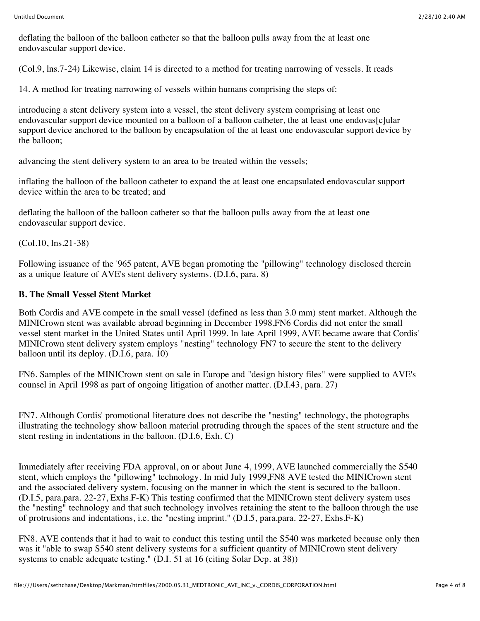deflating the balloon of the balloon catheter so that the balloon pulls away from the at least one endovascular support device.

(Col.9, lns.7-24) Likewise, claim 14 is directed to a method for treating narrowing of vessels. It reads

14. A method for treating narrowing of vessels within humans comprising the steps of:

introducing a stent delivery system into a vessel, the stent delivery system comprising at least one endovascular support device mounted on a balloon of a balloon catheter, the at least one endovas[c]ular support device anchored to the balloon by encapsulation of the at least one endovascular support device by the balloon;

advancing the stent delivery system to an area to be treated within the vessels;

inflating the balloon of the balloon catheter to expand the at least one encapsulated endovascular support device within the area to be treated; and

deflating the balloon of the balloon catheter so that the balloon pulls away from the at least one endovascular support device.

(Col.10, lns.21-38)

Following issuance of the '965 patent, AVE began promoting the "pillowing" technology disclosed therein as a unique feature of AVE's stent delivery systems. (D.I.6, para. 8)

### **B. The Small Vessel Stent Market**

Both Cordis and AVE compete in the small vessel (defined as less than 3.0 mm) stent market. Although the MINICrown stent was available abroad beginning in December 1998,FN6 Cordis did not enter the small vessel stent market in the United States until April 1999. In late April 1999, AVE became aware that Cordis' MINICrown stent delivery system employs "nesting" technology FN7 to secure the stent to the delivery balloon until its deploy. (D.I.6, para. 10)

FN6. Samples of the MINICrown stent on sale in Europe and "design history files" were supplied to AVE's counsel in April 1998 as part of ongoing litigation of another matter. (D.I.43, para. 27)

FN7. Although Cordis' promotional literature does not describe the "nesting" technology, the photographs illustrating the technology show balloon material protruding through the spaces of the stent structure and the stent resting in indentations in the balloon. (D.I.6, Exh. C)

Immediately after receiving FDA approval, on or about June 4, 1999, AVE launched commercially the S540 stent, which employs the "pillowing" technology. In mid July 1999,FN8 AVE tested the MINICrown stent and the associated delivery system, focusing on the manner in which the stent is secured to the balloon. (D.I.5, para.para. 22-27, Exhs.F-K) This testing confirmed that the MINICrown stent delivery system uses the "nesting" technology and that such technology involves retaining the stent to the balloon through the use of protrusions and indentations, i.e. the "nesting imprint." (D.I.5, para.para. 22-27, Exhs.F-K)

FN8. AVE contends that it had to wait to conduct this testing until the S540 was marketed because only then was it "able to swap S540 stent delivery systems for a sufficient quantity of MINICrown stent delivery systems to enable adequate testing." (D.I. 51 at 16 (citing Solar Dep. at 38))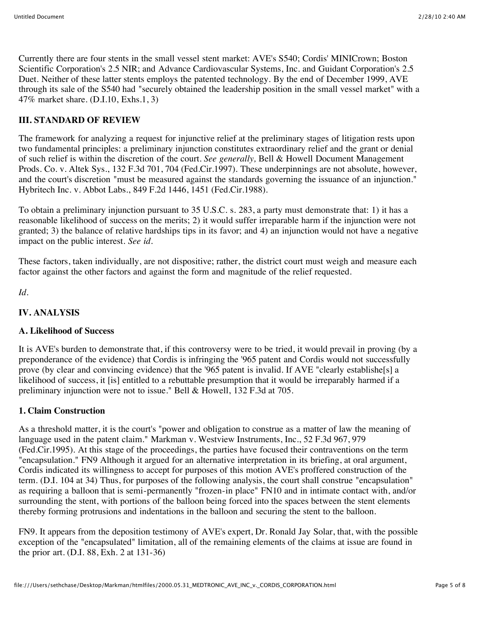Currently there are four stents in the small vessel stent market: AVE's S540; Cordis' MINICrown; Boston Scientific Corporation's 2.5 NIR; and Advance Cardiovascular Systems, Inc. and Guidant Corporation's 2.5 Duet. Neither of these latter stents employs the patented technology. By the end of December 1999, AVE through its sale of the S540 had "securely obtained the leadership position in the small vessel market" with a 47% market share. (D.I.10, Exhs.1, 3)

# **III. STANDARD OF REVIEW**

The framework for analyzing a request for injunctive relief at the preliminary stages of litigation rests upon two fundamental principles: a preliminary injunction constitutes extraordinary relief and the grant or denial of such relief is within the discretion of the court. *See generally,* Bell & Howell Document Management Prods. Co. v. Altek Sys., 132 F.3d 701, 704 (Fed.Cir.1997). These underpinnings are not absolute, however, and the court's discretion "must be measured against the standards governing the issuance of an injunction." Hybritech Inc. v. Abbot Labs., 849 F.2d 1446, 1451 (Fed.Cir.1988).

To obtain a preliminary injunction pursuant to 35 U.S.C. s. 283, a party must demonstrate that: 1) it has a reasonable likelihood of success on the merits; 2) it would suffer irreparable harm if the injunction were not granted; 3) the balance of relative hardships tips in its favor; and 4) an injunction would not have a negative impact on the public interest. *See id.*

These factors, taken individually, are not dispositive; rather, the district court must weigh and measure each factor against the other factors and against the form and magnitude of the relief requested.

*Id.*

# **IV. ANALYSIS**

## **A. Likelihood of Success**

It is AVE's burden to demonstrate that, if this controversy were to be tried, it would prevail in proving (by a preponderance of the evidence) that Cordis is infringing the '965 patent and Cordis would not successfully prove (by clear and convincing evidence) that the '965 patent is invalid. If AVE "clearly establishe[s] a likelihood of success, it [is] entitled to a rebuttable presumption that it would be irreparably harmed if a preliminary injunction were not to issue." Bell & Howell, 132 F.3d at 705.

# **1. Claim Construction**

As a threshold matter, it is the court's "power and obligation to construe as a matter of law the meaning of language used in the patent claim." Markman v. Westview Instruments, Inc., 52 F.3d 967, 979 (Fed.Cir.1995). At this stage of the proceedings, the parties have focused their contraventions on the term "encapsulation." FN9 Although it argued for an alternative interpretation in its briefing, at oral argument, Cordis indicated its willingness to accept for purposes of this motion AVE's proffered construction of the term. (D.I. 104 at 34) Thus, for purposes of the following analysis, the court shall construe "encapsulation" as requiring a balloon that is semi-permanently "frozen-in place" FN10 and in intimate contact with, and/or surrounding the stent, with portions of the balloon being forced into the spaces between the stent elements thereby forming protrusions and indentations in the balloon and securing the stent to the balloon.

FN9. It appears from the deposition testimony of AVE's expert, Dr. Ronald Jay Solar, that, with the possible exception of the "encapsulated" limitation, all of the remaining elements of the claims at issue are found in the prior art. (D.I. 88, Exh. 2 at 131-36)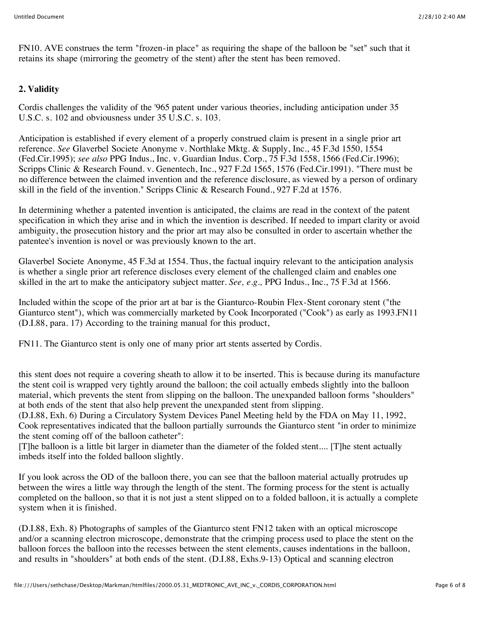FN10. AVE construes the term "frozen-in place" as requiring the shape of the balloon be "set" such that it retains its shape (mirroring the geometry of the stent) after the stent has been removed.

# **2. Validity**

Cordis challenges the validity of the '965 patent under various theories, including anticipation under 35 U.S.C. s. 102 and obviousness under 35 U.S.C. s. 103.

Anticipation is established if every element of a properly construed claim is present in a single prior art reference. *See* Glaverbel Societe Anonyme v. Northlake Mktg. & Supply, Inc., 45 F.3d 1550, 1554 (Fed.Cir.1995); *see also* PPG Indus., Inc. v. Guardian Indus. Corp., 75 F.3d 1558, 1566 (Fed.Cir.1996); Scripps Clinic & Research Found. v. Genentech, Inc., 927 F.2d 1565, 1576 (Fed.Cir.1991). "There must be no difference between the claimed invention and the reference disclosure, as viewed by a person of ordinary skill in the field of the invention." Scripps Clinic & Research Found., 927 F.2d at 1576.

In determining whether a patented invention is anticipated, the claims are read in the context of the patent specification in which they arise and in which the invention is described. If needed to impart clarity or avoid ambiguity, the prosecution history and the prior art may also be consulted in order to ascertain whether the patentee's invention is novel or was previously known to the art.

Glaverbel Societe Anonyme, 45 F.3d at 1554. Thus, the factual inquiry relevant to the anticipation analysis is whether a single prior art reference discloses every element of the challenged claim and enables one skilled in the art to make the anticipatory subject matter. *See, e.g.,* PPG Indus., Inc., 75 F.3d at 1566.

Included within the scope of the prior art at bar is the Gianturco-Roubin Flex-Stent coronary stent ("the Gianturco stent"), which was commercially marketed by Cook Incorporated ("Cook") as early as 1993.FN11 (D.I.88, para. 17) According to the training manual for this product,

FN11. The Gianturco stent is only one of many prior art stents asserted by Cordis.

this stent does not require a covering sheath to allow it to be inserted. This is because during its manufacture the stent coil is wrapped very tightly around the balloon; the coil actually embeds slightly into the balloon material, which prevents the stent from slipping on the balloon. The unexpanded balloon forms "shoulders" at both ends of the stent that also help prevent the unexpanded stent from slipping.

(D.I.88, Exh. 6) During a Circulatory System Devices Panel Meeting held by the FDA on May 11, 1992, Cook representatives indicated that the balloon partially surrounds the Gianturco stent "in order to minimize the stent coming off of the balloon catheter":

[T]he balloon is a little bit larger in diameter than the diameter of the folded stent.... [T]he stent actually imbeds itself into the folded balloon slightly.

If you look across the OD of the balloon there, you can see that the balloon material actually protrudes up between the wires a little way through the length of the stent. The forming process for the stent is actually completed on the balloon, so that it is not just a stent slipped on to a folded balloon, it is actually a complete system when it is finished.

(D.I.88, Exh. 8) Photographs of samples of the Gianturco stent FN12 taken with an optical microscope and/or a scanning electron microscope, demonstrate that the crimping process used to place the stent on the balloon forces the balloon into the recesses between the stent elements, causes indentations in the balloon, and results in "shoulders" at both ends of the stent. (D.I.88, Exhs.9-13) Optical and scanning electron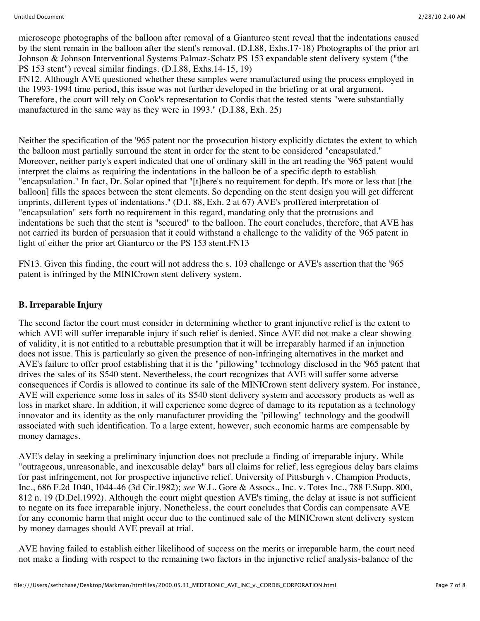microscope photographs of the balloon after removal of a Gianturco stent reveal that the indentations caused by the stent remain in the balloon after the stent's removal. (D.I.88, Exhs.17-18) Photographs of the prior art Johnson & Johnson Interventional Systems Palmaz-Schatz PS 153 expandable stent delivery system ("the PS 153 stent") reveal similar findings. (D.I.88, Exhs.14-15, 19)

FN12. Although AVE questioned whether these samples were manufactured using the process employed in the 1993-1994 time period, this issue was not further developed in the briefing or at oral argument. Therefore, the court will rely on Cook's representation to Cordis that the tested stents "were substantially manufactured in the same way as they were in 1993." (D.I.88, Exh. 25)

Neither the specification of the '965 patent nor the prosecution history explicitly dictates the extent to which the balloon must partially surround the stent in order for the stent to be considered "encapsulated." Moreover, neither party's expert indicated that one of ordinary skill in the art reading the '965 patent would interpret the claims as requiring the indentations in the balloon be of a specific depth to establish "encapsulation." In fact, Dr. Solar opined that "[t]here's no requirement for depth. It's more or less that [the balloon] fills the spaces between the stent elements. So depending on the stent design you will get different imprints, different types of indentations." (D.I. 88, Exh. 2 at 67) AVE's proffered interpretation of "encapsulation" sets forth no requirement in this regard, mandating only that the protrusions and indentations be such that the stent is "secured" to the balloon. The court concludes, therefore, that AVE has not carried its burden of persuasion that it could withstand a challenge to the validity of the '965 patent in light of either the prior art Gianturco or the PS 153 stent.FN13

FN13. Given this finding, the court will not address the s. 103 challenge or AVE's assertion that the '965 patent is infringed by the MINICrown stent delivery system.

## **B. Irreparable Injury**

The second factor the court must consider in determining whether to grant injunctive relief is the extent to which AVE will suffer irreparable injury if such relief is denied. Since AVE did not make a clear showing of validity, it is not entitled to a rebuttable presumption that it will be irreparably harmed if an injunction does not issue. This is particularly so given the presence of non-infringing alternatives in the market and AVE's failure to offer proof establishing that it is the "pillowing" technology disclosed in the '965 patent that drives the sales of its S540 stent. Nevertheless, the court recognizes that AVE will suffer some adverse consequences if Cordis is allowed to continue its sale of the MINICrown stent delivery system. For instance, AVE will experience some loss in sales of its S540 stent delivery system and accessory products as well as loss in market share. In addition, it will experience some degree of damage to its reputation as a technology innovator and its identity as the only manufacturer providing the "pillowing" technology and the goodwill associated with such identification. To a large extent, however, such economic harms are compensable by money damages.

AVE's delay in seeking a preliminary injunction does not preclude a finding of irreparable injury. While "outrageous, unreasonable, and inexcusable delay" bars all claims for relief, less egregious delay bars claims for past infringement, not for prospective injunctive relief. University of Pittsburgh v. Champion Products, Inc., 686 F.2d 1040, 1044-46 (3d Cir.1982); *see* W.L. Gore & Assocs., Inc. v. Totes Inc., 788 F.Supp. 800, 812 n. 19 (D.Del.1992). Although the court might question AVE's timing, the delay at issue is not sufficient to negate on its face irreparable injury. Nonetheless, the court concludes that Cordis can compensate AVE for any economic harm that might occur due to the continued sale of the MINICrown stent delivery system by money damages should AVE prevail at trial.

AVE having failed to establish either likelihood of success on the merits or irreparable harm, the court need not make a finding with respect to the remaining two factors in the injunctive relief analysis-balance of the